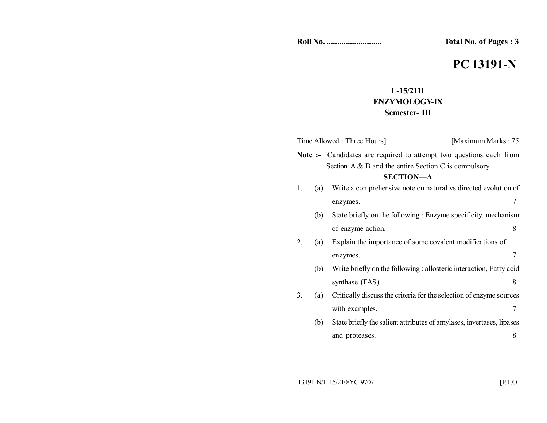**Total No. of Pages : 3** 

# **PC 13191-N**

## **L-15/2111 ENZYMOLOGY-IX Semester- III**

| Time Allowed : Three Hours] |     |                                                                                                                                       | [Maximum Marks: 75] |
|-----------------------------|-----|---------------------------------------------------------------------------------------------------------------------------------------|---------------------|
|                             |     | <b>Note :-</b> Candidates are required to attempt two questions each from<br>Section $A \& B$ and the entire Section C is compulsory. |                     |
| <b>SECTION-A</b>            |     |                                                                                                                                       |                     |
| 1.                          | (a) | Write a comprehensive note on natural vs directed evolution of                                                                        |                     |
|                             |     | enzymes.                                                                                                                              | 7                   |
|                             | (b) | State briefly on the following : Enzyme specificity, mechanism                                                                        |                     |
|                             |     | of enzyme action.                                                                                                                     | 8                   |
| 2.                          | (a) | Explain the importance of some covalent modifications of                                                                              |                     |
|                             |     | enzymes.                                                                                                                              | 7                   |
|                             | (b) | Write briefly on the following : allosteric interaction, Fatty acid                                                                   |                     |
|                             |     | synthase (FAS)                                                                                                                        | 8                   |
| 3.                          | (a) | Critically discuss the criteria for the selection of enzyme sources                                                                   |                     |
|                             |     | with examples.                                                                                                                        | 7                   |
|                             | (b) | State briefly the salient attributes of amylases, invertases, lipases                                                                 |                     |
|                             |     | and proteases.                                                                                                                        | 8                   |
|                             |     |                                                                                                                                       |                     |